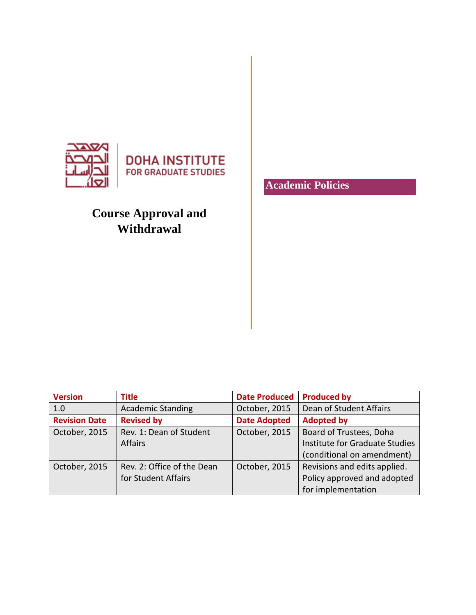

# **Course Approval and Withdrawal**

**Academic Policies**

| <b>Version</b>       | Title                      | <b>Date Produced</b> | <b>Produced by</b>             |
|----------------------|----------------------------|----------------------|--------------------------------|
| 1.0                  | <b>Academic Standing</b>   | October, 2015        | Dean of Student Affairs        |
| <b>Revision Date</b> | <b>Revised by</b>          | <b>Date Adopted</b>  | <b>Adopted by</b>              |
| October, 2015        | Rev. 1: Dean of Student    | October, 2015        | Board of Trustees, Doha        |
|                      | <b>Affairs</b>             |                      | Institute for Graduate Studies |
|                      |                            |                      | (conditional on amendment)     |
| October, 2015        | Rev. 2: Office of the Dean | October, 2015        | Revisions and edits applied.   |
|                      | for Student Affairs        |                      | Policy approved and adopted    |
|                      |                            |                      | for implementation             |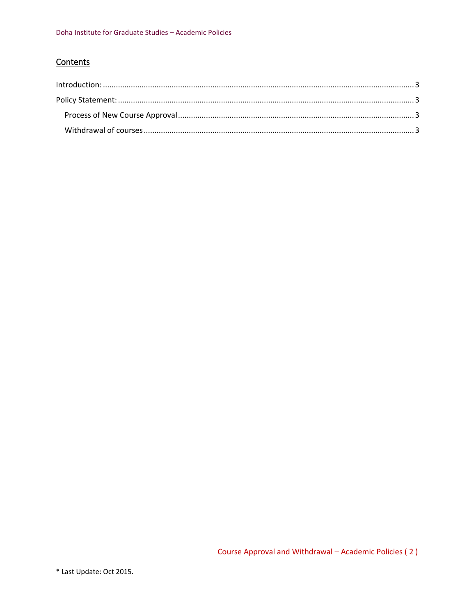## Contents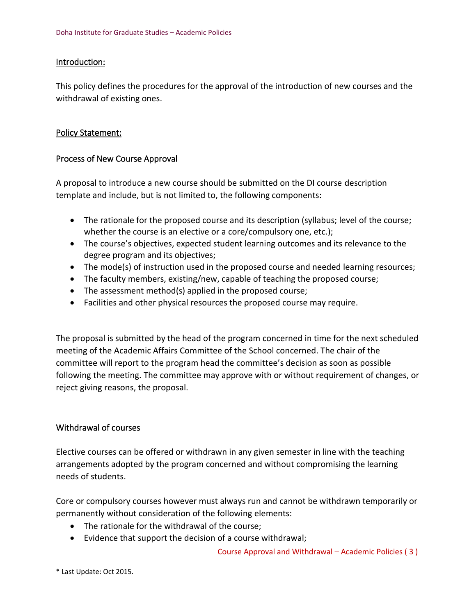#### <span id="page-2-0"></span>Introduction:

This policy defines the procedures for the approval of the introduction of new courses and the withdrawal of existing ones.

#### <span id="page-2-1"></span>Policy Statement:

#### <span id="page-2-2"></span>Process of New Course Approval

A proposal to introduce a new course should be submitted on the DI course description template and include, but is not limited to, the following components:

- The rationale for the proposed course and its description (syllabus; level of the course; whether the course is an elective or a core/compulsory one, etc.);
- The course's objectives, expected student learning outcomes and its relevance to the degree program and its objectives;
- The mode(s) of instruction used in the proposed course and needed learning resources;
- The faculty members, existing/new, capable of teaching the proposed course;
- The assessment method(s) applied in the proposed course;
- Facilities and other physical resources the proposed course may require.

The proposal is submitted by the head of the program concerned in time for the next scheduled meeting of the Academic Affairs Committee of the School concerned. The chair of the committee will report to the program head the committee's decision as soon as possible following the meeting. The committee may approve with or without requirement of changes, or reject giving reasons, the proposal.

### <span id="page-2-3"></span>Withdrawal of courses

Elective courses can be offered or withdrawn in any given semester in line with the teaching arrangements adopted by the program concerned and without compromising the learning needs of students.

Core or compulsory courses however must always run and cannot be withdrawn temporarily or permanently without consideration of the following elements:

- The rationale for the withdrawal of the course;
- Evidence that support the decision of a course withdrawal;

Course Approval and Withdrawal – Academic Policies ( 3 )